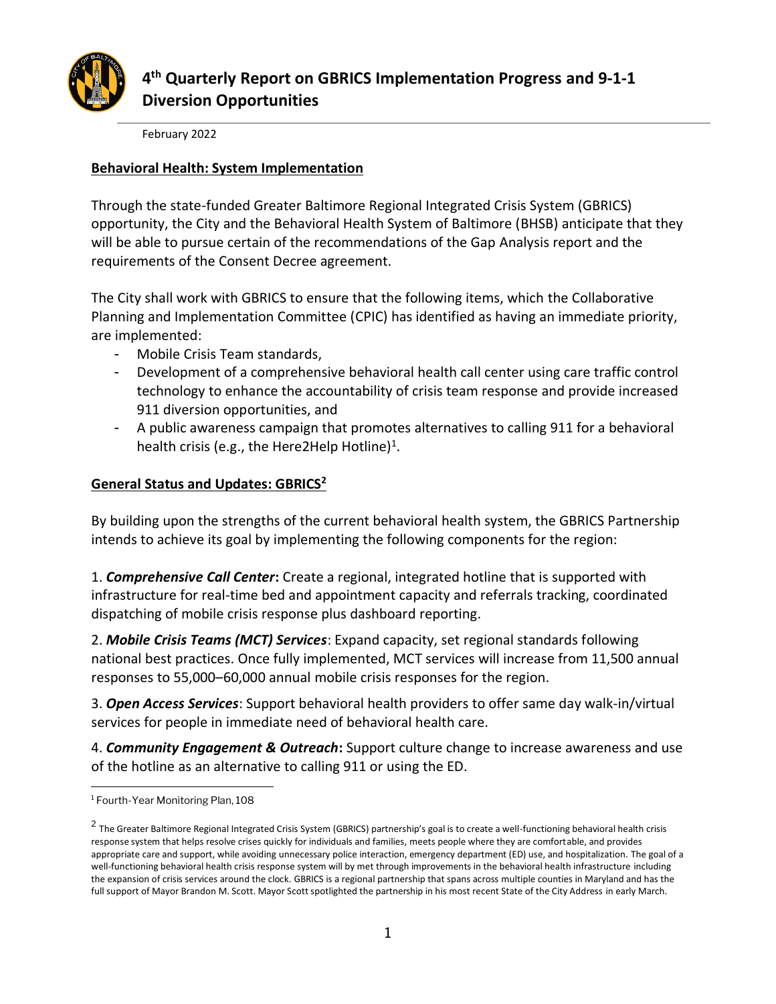

# **4 th Quarterly Report on GBRICS Implementation Progress and 9-1-1 Diversion Opportunities**

February 2022

#### **Behavioral Health: System Implementation**

Through the state-funded Greater Baltimore Regional Integrated Crisis System (GBRICS) opportunity, the City and the Behavioral Health System of Baltimore (BHSB) anticipate that they will be able to pursue certain of the recommendations of the Gap Analysis report and the requirements of the Consent Decree agreement.

The City shall work with GBRICS to ensure that the following items, which the Collaborative Planning and Implementation Committee (CPIC) has identified as having an immediate priority, are implemented:

- Mobile Crisis Team standards,
- Development of a comprehensive behavioral health call center using care traffic control technology to enhance the accountability of crisis team response and provide increased 911 diversion opportunities, and
- A public awareness campaign that promotes alternatives to calling 911 for a behavioral health crisis (e.g., the Here2Help Hotline)<sup>1</sup>.

### **General Status and Updates: GBRICS<sup>2</sup>**

By building upon the strengths of the current behavioral health system, the GBRICS Partnership intends to achieve its goal by implementing the following components for the region:

1. *Comprehensive Call Center***:** Create a regional, integrated hotline that is supported with infrastructure for real-time bed and appointment capacity and referrals tracking, coordinated dispatching of mobile crisis response plus dashboard reporting.

2. *Mobile Crisis Teams (MCT) Services*: Expand capacity, set regional standards following national best practices. Once fully implemented, MCT services will increase from 11,500 annual responses to 55,000–60,000 annual mobile crisis responses for the region.

3. *Open Access Services*: Support behavioral health providers to offer same day walk-in/virtual services for people in immediate need of behavioral health care.

4. *Community Engagement & Outreach***:** Support culture change to increase awareness and use of the hotline as an alternative to calling 911 or using the ED.

<sup>&</sup>lt;sup>1</sup> Fourth-Year Monitoring Plan, 108

 $^2$  The Greater Baltimore Regional Integrated Crisis System (GBRICS) partnership's goal is to create a well-functioning behavioral health crisis response system that helps resolve crises quickly for individuals and families, meets people where they are comfortable, and provides appropriate care and support, while avoiding unnecessary police interaction, emergency department (ED) use, and hospitalization. The goal of a well-functioning behavioral health crisis response system will by met through improvements in the behavioral health infrastructure including the expansion of crisis services around the clock. GBRICS is a regional partnership that spans across multiple counties in Maryland and has the full support of Mayor Brandon M. Scott. Mayor Scott spotlighted the partnership in his most recent State of the City Address in early March.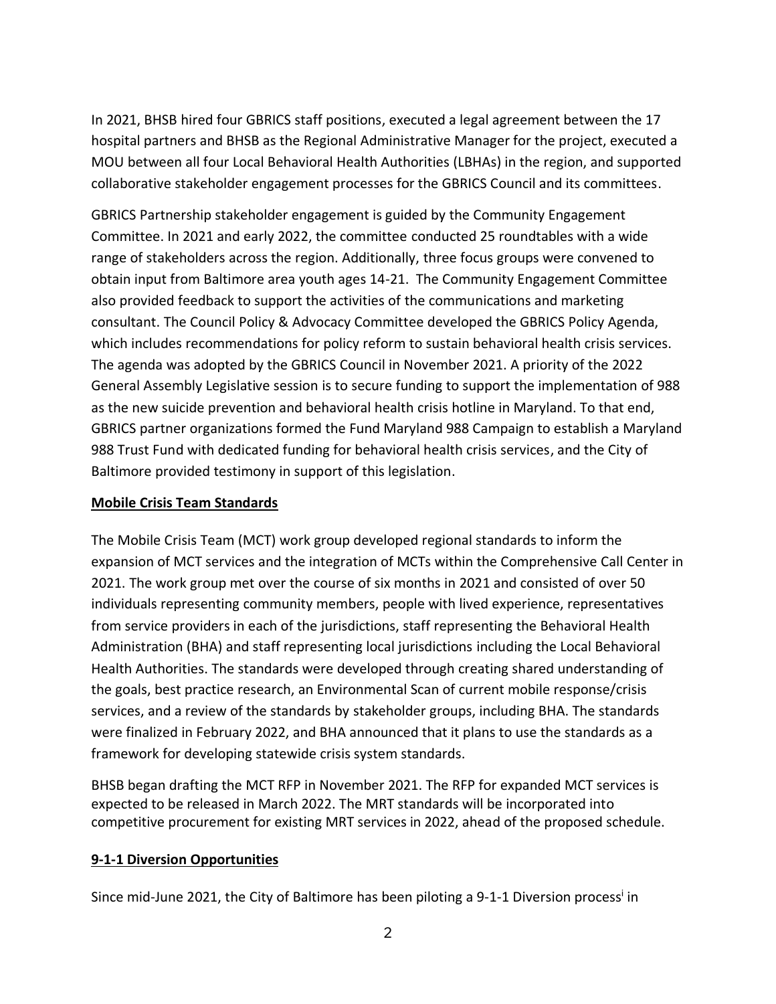In 2021, BHSB hired four GBRICS staff positions, executed a legal agreement between the 17 hospital partners and BHSB as the Regional Administrative Manager for the project, executed a MOU between all four Local Behavioral Health Authorities (LBHAs) in the region, and supported collaborative stakeholder engagement processes for the GBRICS Council and its committees.

GBRICS Partnership stakeholder engagement is guided by the Community Engagement Committee. In 2021 and early 2022, the committee conducted 25 roundtables with a wide range of stakeholders across the region. Additionally, three focus groups were convened to obtain input from Baltimore area youth ages 14-21. The Community Engagement Committee also provided feedback to support the activities of the communications and marketing consultant. The Council Policy & Advocacy Committee developed the GBRICS Policy Agenda, which includes recommendations for policy reform to sustain behavioral health crisis services. The agenda was adopted by the GBRICS Council in November 2021. A priority of the 2022 General Assembly Legislative session is to secure funding to support the implementation of 988 as the new suicide prevention and behavioral health crisis hotline in Maryland. To that end, GBRICS partner organizations formed the Fund Maryland 988 Campaign to establish a Maryland 988 Trust Fund with dedicated funding for behavioral health crisis services, and the City of Baltimore provided testimony in support of this legislation.

#### **Mobile Crisis Team Standards**

The Mobile Crisis Team (MCT) work group developed regional standards to inform the expansion of MCT services and the integration of MCTs within the Comprehensive Call Center in 2021. The work group met over the course of six months in 2021 and consisted of over 50 individuals representing community members, people with lived experience, representatives from service providers in each of the jurisdictions, staff representing the Behavioral Health Administration (BHA) and staff representing local jurisdictions including the Local Behavioral Health Authorities. The standards were developed through creating shared understanding of the goals, best practice research, an Environmental Scan of current mobile response/crisis services, and a review of the standards by stakeholder groups, including BHA. The standards were finalized in February 2022, and BHA announced that it plans to use the standards as a framework for developing statewide crisis system standards.

BHSB began drafting the MCT RFP in November 2021. The RFP for expanded MCT services is expected to be released in March 2022. The MRT standards will be incorporated into competitive procurement for existing MRT services in 2022, ahead of the proposed schedule.

#### **9-1-1 Diversion Opportunities**

Since mid-June 2021, the City of Baltimore has been piloting a 9-1-1 Diversion process<sup>i</sup> in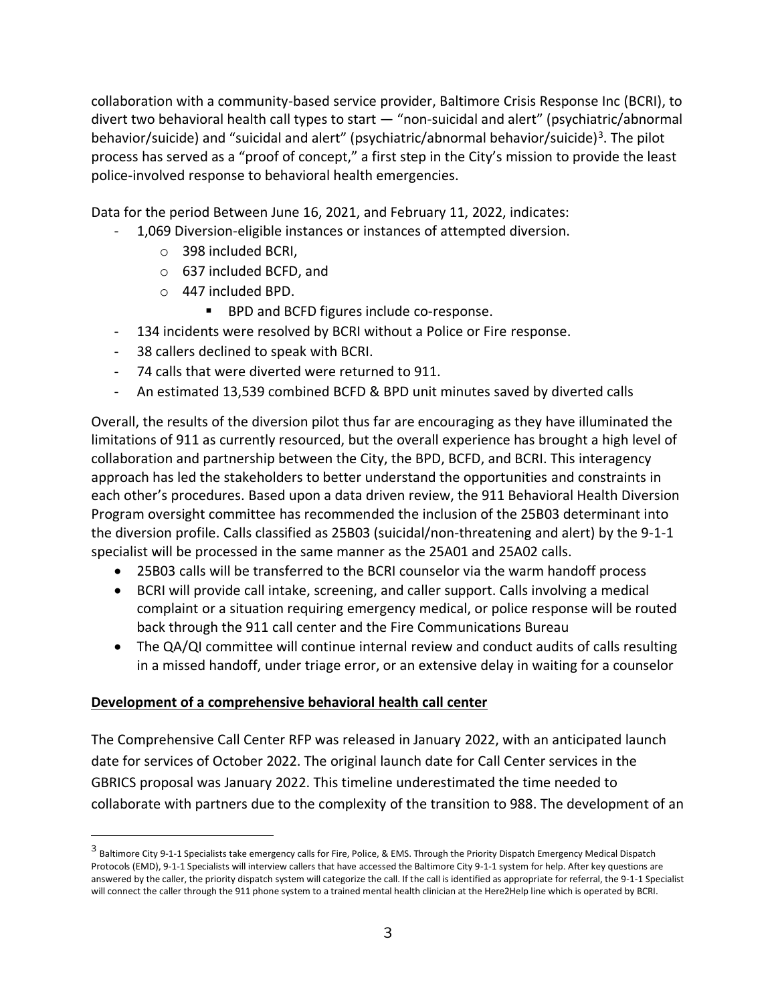collaboration with a community-based service provider, Baltimore Crisis Response Inc (BCRI), to divert two behavioral health call types to start — "non-suicidal and alert" (psychiatric/abnormal behavior/suicide) and "suicidal and alert" (psychiatric/abnormal behavior/suicide)<sup>3</sup>. The pilot process has served as a "proof of concept," a first step in the City's mission to provide the least police-involved response to behavioral health emergencies.

Data for the period Between June 16, 2021, and February 11, 2022, indicates:

- 1,069 Diversion-eligible instances or instances of attempted diversion.
	- o 398 included BCRI,
	- o 637 included BCFD, and
	- o 447 included BPD.
		- BPD and BCFD figures include co-response.
- 134 incidents were resolved by BCRI without a Police or Fire response.
- 38 callers declined to speak with BCRI.
- 74 calls that were diverted were returned to 911.
- An estimated 13,539 combined BCFD & BPD unit minutes saved by diverted calls

Overall, the results of the diversion pilot thus far are encouraging as they have illuminated the limitations of 911 as currently resourced, but the overall experience has brought a high level of collaboration and partnership between the City, the BPD, BCFD, and BCRI. This interagency approach has led the stakeholders to better understand the opportunities and constraints in each other's procedures. Based upon a data driven review, the 911 Behavioral Health Diversion Program oversight committee has recommended the inclusion of the 25B03 determinant into the diversion profile. Calls classified as 25B03 (suicidal/non-threatening and alert) by the 9-1-1 specialist will be processed in the same manner as the 25A01 and 25A02 calls.

- 25B03 calls will be transferred to the BCRI counselor via the warm handoff process
- BCRI will provide call intake, screening, and caller support. Calls involving a medical complaint or a situation requiring emergency medical, or police response will be routed back through the 911 call center and the Fire Communications Bureau
- The QA/QI committee will continue internal review and conduct audits of calls resulting in a missed handoff, under triage error, or an extensive delay in waiting for a counselor

### **Development of a comprehensive behavioral health call center**

The Comprehensive Call Center RFP was released in January 2022, with an anticipated launch date for services of October 2022. The original launch date for Call Center services in the GBRICS proposal was January 2022. This timeline underestimated the time needed to collaborate with partners due to the complexity of the transition to 988. The development of an

 $^3$  Baltimore City 9-1-1 Specialists take emergency calls for Fire, Police, & EMS. Through the Priority Dispatch Emergency Medical Dispatch Protocols (EMD), 9-1-1 Specialists will interview callers that have accessed the Baltimore City 9-1-1 system for help. After key questions are answered by the caller, the priority dispatch system will categorize the call. If the call is identified as appropriate for referral, the 9-1-1 Specialist will connect the caller through the 911 phone system to a trained mental health clinician at the Here2Help line which is operated by BCRI.